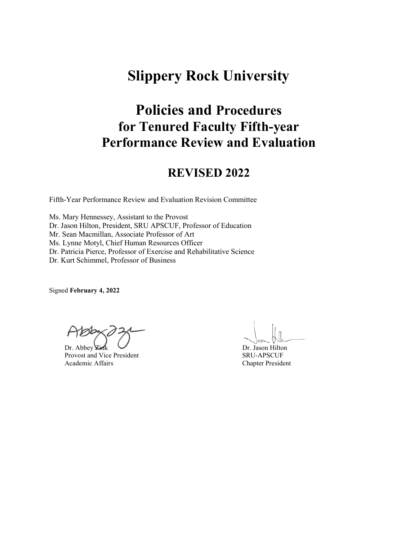# **Slippery Rock University**

# **Policies and Procedures for Tenured Faculty Fifth-year Performance Review and Evaluation**

## **REVISED 2022**

Fifth-Year Performance Review and Evaluation Revision Committee

Ms. Mary Hennessey, Assistant to the Provost Dr. Jason Hilton, President, SRU APSCUF, Professor of Education Mr. Sean Macmillan, Associate Professor of Art Ms. Lynne Motyl, Chief Human Resources Officer Dr. Patricia Pierce, Professor of Exercise and Rehabilitative Science Dr. Kurt Schimmel, Professor of Business

Signed **February 4, 2022**

Dr. Abbey Zink Provost and Vice President Academic Affairs

 Dr. Jason Hilton SRU-APSCUF Chapter President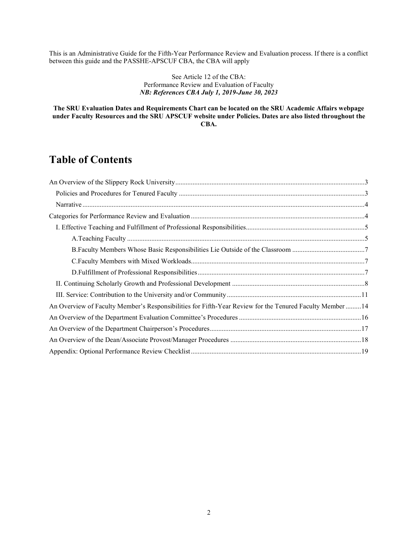This is an Administrative Guide for the Fifth-Year Performance Review and Evaluation process. If there is a conflict between this guide and the PASSHE-APSCUF CBA, the CBA will apply

#### See Article 12 of the CBA: Performance Review and Evaluation of Faculty *NB: References CBA July 1, 2019-June 30, 2023*

#### **The SRU Evaluation Dates and Requirements Chart can be located on the SRU Academic Affairs webpage under Faculty Resources and the SRU APSCUF website under Policies. Dates are also listed throughout the CBA.**

## **Table of Contents**

| An Overview of Faculty Member's Responsibilities for Fifth-Year Review for the Tenured Faculty Member 14 |  |
|----------------------------------------------------------------------------------------------------------|--|
|                                                                                                          |  |
|                                                                                                          |  |
|                                                                                                          |  |
|                                                                                                          |  |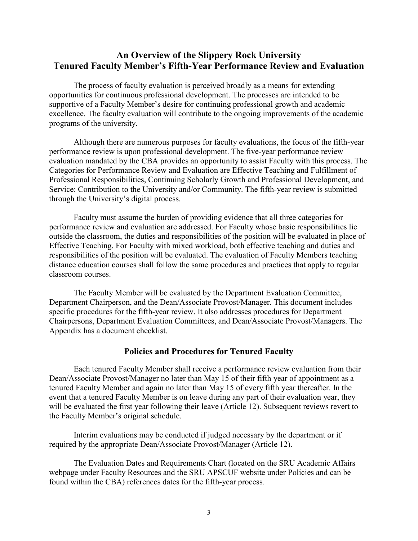#### <span id="page-2-0"></span>**An Overview of the Slippery Rock University Tenured Faculty Member's Fifth-Year Performance Review and Evaluation**

The process of faculty evaluation is perceived broadly as a means for extending opportunities for continuous professional development. The processes are intended to be supportive of a Faculty Member's desire for continuing professional growth and academic excellence. The faculty evaluation will contribute to the ongoing improvements of the academic programs of the university.

Although there are numerous purposes for faculty evaluations, the focus of the fifth-year performance review is upon professional development. The five-year performance review evaluation mandated by the CBA provides an opportunity to assist Faculty with this process. The Categories for Performance Review and Evaluation are Effective Teaching and Fulfillment of Professional Responsibilities, Continuing Scholarly Growth and Professional Development, and Service: Contribution to the University and/or Community. The fifth-year review is submitted through the University's digital process.

Faculty must assume the burden of providing evidence that all three categories for performance review and evaluation are addressed. For Faculty whose basic responsibilities lie outside the classroom, the duties and responsibilities of the position will be evaluated in place of Effective Teaching. For Faculty with mixed workload, both effective teaching and duties and responsibilities of the position will be evaluated. The evaluation of Faculty Members teaching distance education courses shall follow the same procedures and practices that apply to regular classroom courses.

The Faculty Member will be evaluated by the Department Evaluation Committee, Department Chairperson, and the Dean/Associate Provost/Manager. This document includes specific procedures for the fifth-year review. It also addresses procedures for Department Chairpersons, Department Evaluation Committees, and Dean/Associate Provost/Managers. The Appendix has a document checklist.

#### **Policies and Procedures for Tenured Faculty**

<span id="page-2-1"></span>Each tenured Faculty Member shall receive a performance review evaluation from their Dean/Associate Provost/Manager no later than May 15 of their fifth year of appointment as a tenured Faculty Member and again no later than May 15 of every fifth year thereafter. In the event that a tenured Faculty Member is on leave during any part of their evaluation year, they will be evaluated the first year following their leave (Article 12). Subsequent reviews revert to the Faculty Member's original schedule.

Interim evaluations may be conducted if judged necessary by the department or if required by the appropriate Dean/Associate Provost/Manager (Article 12).

The Evaluation Dates and Requirements Chart (located on the SRU Academic Affairs webpage under Faculty Resources and the SRU APSCUF website under Policies and can be found within the CBA) references dates for the fifth-year process.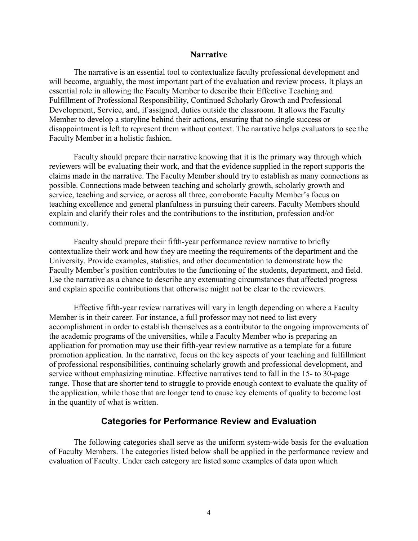#### **Narrative**

<span id="page-3-0"></span>The narrative is an essential tool to contextualize faculty professional development and will become, arguably, the most important part of the evaluation and review process. It plays an essential role in allowing the Faculty Member to describe their Effective Teaching and Fulfillment of Professional Responsibility, Continued Scholarly Growth and Professional Development, Service, and, if assigned, duties outside the classroom. It allows the Faculty Member to develop a storyline behind their actions, ensuring that no single success or disappointment is left to represent them without context. The narrative helps evaluators to see the Faculty Member in a holistic fashion.

Faculty should prepare their narrative knowing that it is the primary way through which reviewers will be evaluating their work, and that the evidence supplied in the report supports the claims made in the narrative. The Faculty Member should try to establish as many connections as possible. Connections made between teaching and scholarly growth, scholarly growth and service, teaching and service, or across all three, corroborate Faculty Member's focus on teaching excellence and general planfulness in pursuing their careers. Faculty Members should explain and clarify their roles and the contributions to the institution, profession and/or community.

Faculty should prepare their fifth-year performance review narrative to briefly contextualize their work and how they are meeting the requirements of the department and the University. Provide examples, statistics, and other documentation to demonstrate how the Faculty Member's position contributes to the functioning of the students, department, and field. Use the narrative as a chance to describe any extenuating circumstances that affected progress and explain specific contributions that otherwise might not be clear to the reviewers.

Effective fifth-year review narratives will vary in length depending on where a Faculty Member is in their career. For instance, a full professor may not need to list every accomplishment in order to establish themselves as a contributor to the ongoing improvements of the academic programs of the universities, while a Faculty Member who is preparing an application for promotion may use their fifth-year review narrative as a template for a future promotion application. In the narrative, focus on the key aspects of your teaching and fulfillment of professional responsibilities, continuing scholarly growth and professional development, and service without emphasizing minutiae. Effective narratives tend to fall in the 15- to 30-page range. Those that are shorter tend to struggle to provide enough context to evaluate the quality of the application, while those that are longer tend to cause key elements of quality to become lost in the quantity of what is written.

#### **Categories for Performance Review and Evaluation**

<span id="page-3-1"></span>The following categories shall serve as the uniform system-wide basis for the evaluation of Faculty Members. The categories listed below shall be applied in the performance review and evaluation of Faculty. Under each category are listed some examples of data upon which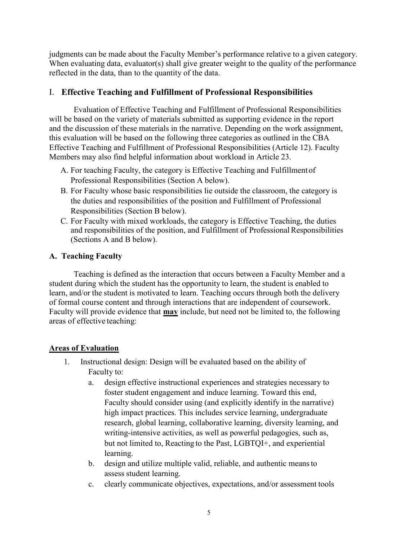judgments can be made about the Faculty Member's performance relative to a given category. When evaluating data, evaluator(s) shall give greater weight to the quality of the performance reflected in the data, than to the quantity of the data.

#### <span id="page-4-0"></span>I. **Effective Teaching and Fulfillment of Professional Responsibilities**

Evaluation of Effective Teaching and Fulfillment of Professional Responsibilities will be based on the variety of materials submitted as supporting evidence in the report and the discussion of these materials in the narrative. Depending on the work assignment, this evaluation will be based on the following three categories as outlined in the CBA Effective Teaching and Fulfillment of Professional Responsibilities (Article 12). Faculty Members may also find helpful information about workload in Article 23.

- A. For teaching Faculty, the category is Effective Teaching and Fulfillmentof Professional Responsibilities (Section A below).
- B. For Faculty whose basic responsibilities lie outside the classroom, the category is the duties and responsibilities of the position and Fulfillment of Professional Responsibilities (Section B below).
- C. For Faculty with mixed workloads, the category is Effective Teaching, the duties and responsibilities of the position, and Fulfillment of Professional Responsibilities (Sections A and B below).

#### <span id="page-4-1"></span>**A. Teaching Faculty**

Teaching is defined as the interaction that occurs between a Faculty Member and a student during which the student has the opportunity to learn, the student is enabled to learn, and/or the student is motivated to learn. Teaching occurs through both the delivery of formal course content and through interactions that are independent of coursework. Faculty will provide evidence that **may** include, but need not be limited to, the following areas of effective teaching:

#### **Areas of Evaluation**

- 1. Instructional design: Design will be evaluated based on the ability of Faculty to:
	- a. design effective instructional experiences and strategies necessary to foster student engagement and induce learning. Toward this end, Faculty should consider using (and explicitly identify in the narrative) high impact practices. This includes service learning, undergraduate research, global learning, collaborative learning, diversity learning, and writing-intensive activities, as well as powerful pedagogies, such as, but not limited to, Reacting to the Past, LGBTQI+, and experiential learning.
	- b. design and utilize multiple valid, reliable, and authentic meansto assess student learning.
	- c. clearly communicate objectives, expectations, and/or assessment tools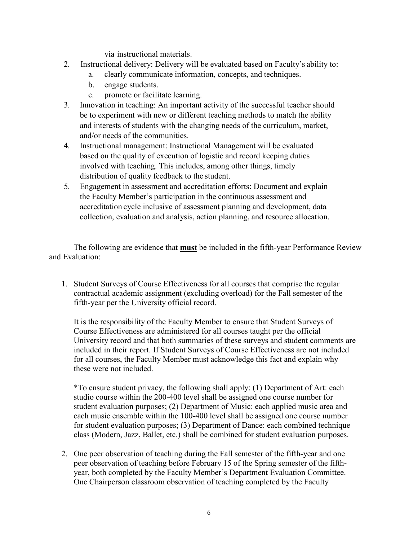via instructional materials.

- 2. Instructional delivery: Delivery will be evaluated based on Faculty's ability to:
	- a. clearly communicate information, concepts, and techniques.
	- b. engage students.
	- c. promote or facilitate learning.
- 3. Innovation in teaching: An important activity of the successful teacher should be to experiment with new or different teaching methods to match the ability and interests of students with the changing needs of the curriculum, market, and/or needs of the communities.
- 4. Instructional management: Instructional Management will be evaluated based on the quality of execution of logistic and record keeping duties involved with teaching. This includes, among other things, timely distribution of quality feedback to the student.
- 5. Engagement in assessment and accreditation efforts: Document and explain the Faculty Member's participation in the continuous assessment and accreditation cycle inclusive of assessment planning and development, data collection, evaluation and analysis, action planning, and resource allocation.

The following are evidence that **must** be included in the fifth-year Performance Review and Evaluation:

1. Student Surveys of Course Effectiveness for all courses that comprise the regular contractual academic assignment (excluding overload) for the Fall semester of the fifth-year per the University official record.

It is the responsibility of the Faculty Member to ensure that Student Surveys of Course Effectiveness are administered for all courses taught per the official University record and that both summaries of these surveys and student comments are included in their report. If Student Surveys of Course Effectiveness are not included for all courses, the Faculty Member must acknowledge this fact and explain why these were not included.

\*To ensure student privacy, the following shall apply: (1) Department of Art: each studio course within the 200-400 level shall be assigned one course number for student evaluation purposes; (2) Department of Music: each applied music area and each music ensemble within the 100-400 level shall be assigned one course number for student evaluation purposes; (3) Department of Dance: each combined technique class (Modern, Jazz, Ballet, etc.) shall be combined for student evaluation purposes.

2. One peer observation of teaching during the Fall semester of the fifth-year and one peer observation of teaching before February 15 of the Spring semester of the fifthyear, both completed by the Faculty Member's Department Evaluation Committee. One Chairperson classroom observation of teaching completed by the Faculty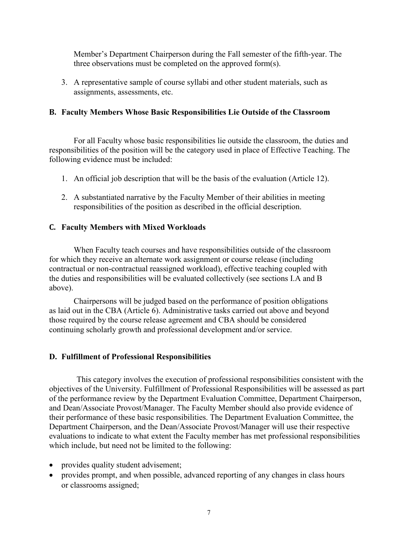Member's Department Chairperson during the Fall semester of the fifth-year. The three observations must be completed on the approved form(s).

3. A representative sample of course syllabi and other student materials, such as assignments, assessments, etc.

#### <span id="page-6-0"></span>**B. Faculty Members Whose Basic Responsibilities Lie Outside of the Classroom**

For all Faculty whose basic responsibilities lie outside the classroom, the duties and responsibilities of the position will be the category used in place of Effective Teaching. The following evidence must be included:

- 1. An official job description that will be the basis of the evaluation (Article 12).
- 2. A substantiated narrative by the Faculty Member of their abilities in meeting responsibilities of the position as described in the official description.

#### <span id="page-6-1"></span>**C. Faculty Members with Mixed Workloads**

When Faculty teach courses and have responsibilities outside of the classroom for which they receive an alternate work assignment or course release (including contractual or non-contractual reassigned workload), effective teaching coupled with the duties and responsibilities will be evaluated collectively (see sections I.A and B above).

Chairpersons will be judged based on the performance of position obligations as laid out in the CBA (Article 6). Administrative tasks carried out above and beyond those required by the course release agreement and CBA should be considered continuing scholarly growth and professional development and/or service.

#### <span id="page-6-2"></span>**D. Fulfillment of Professional Responsibilities**

This category involves the execution of professional responsibilities consistent with the objectives of the University. Fulfillment of Professional Responsibilities will be assessed as part of the performance review by the Department Evaluation Committee, Department Chairperson, and Dean/Associate Provost/Manager. The Faculty Member should also provide evidence of their performance of these basic responsibilities. The Department Evaluation Committee, the Department Chairperson, and the Dean/Associate Provost/Manager will use their respective evaluations to indicate to what extent the Faculty member has met professional responsibilities which include, but need not be limited to the following:

- provides quality student advisement;
- provides prompt, and when possible, advanced reporting of any changes in class hours or classrooms assigned;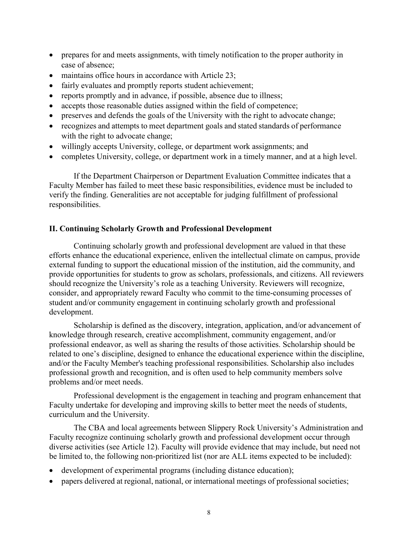- prepares for and meets assignments, with timely notification to the proper authority in case of absence;
- maintains office hours in accordance with Article 23;
- fairly evaluates and promptly reports student achievement;
- reports promptly and in advance, if possible, absence due to illness;
- accepts those reasonable duties assigned within the field of competence;
- preserves and defends the goals of the University with the right to advocate change;
- recognizes and attempts to meet department goals and stated standards of performance with the right to advocate change;
- willingly accepts University, college, or department work assignments; and
- completes University, college, or department work in a timely manner, and at a high level.

If the Department Chairperson or Department Evaluation Committee indicates that a Faculty Member has failed to meet these basic responsibilities, evidence must be included to verify the finding. Generalities are not acceptable for judging fulfillment of professional responsibilities.

#### <span id="page-7-0"></span>**II. Continuing Scholarly Growth and Professional Development**

Continuing scholarly growth and professional development are valued in that these efforts enhance the educational experience, enliven the intellectual climate on campus, provide external funding to support the educational mission of the institution, aid the community, and provide opportunities for students to grow as scholars, professionals, and citizens. All reviewers should recognize the University's role as a teaching University. Reviewers will recognize, consider, and appropriately reward Faculty who commit to the time-consuming processes of student and/or community engagement in continuing scholarly growth and professional development.

Scholarship is defined as the discovery, integration, application, and/or advancement of knowledge through research, creative accomplishment, community engagement, and/or professional endeavor, as well as sharing the results of those activities. Scholarship should be related to one's discipline, designed to enhance the educational experience within the discipline, and/or the Faculty Member's teaching professional responsibilities. Scholarship also includes professional growth and recognition, and is often used to help community members solve problems and/or meet needs.

Professional development is the engagement in teaching and program enhancement that Faculty undertake for developing and improving skills to better meet the needs of students, curriculum and the University.

The CBA and local agreements between Slippery Rock University's Administration and Faculty recognize continuing scholarly growth and professional development occur through diverse activities (see Article 12). Faculty will provide evidence that may include, but need not be limited to, the following non-prioritized list (nor are ALL items expected to be included):

- development of experimental programs (including distance education);
- papers delivered at regional, national, or international meetings of professional societies;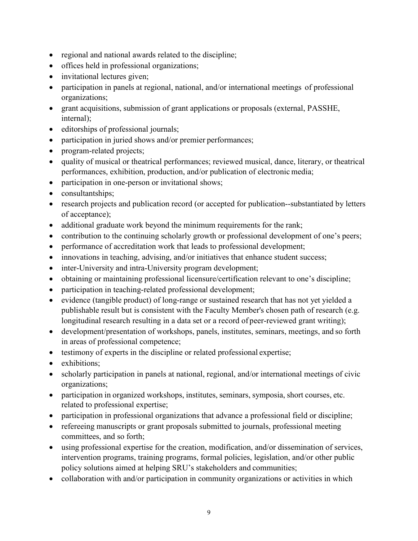- regional and national awards related to the discipline;
- offices held in professional organizations;
- invitational lectures given;
- participation in panels at regional, national, and/or international meetings of professional organizations;
- grant acquisitions, submission of grant applications or proposals (external, PASSHE, internal);
- editorships of professional journals;
- participation in juried shows and/or premier performances;
- program-related projects;
- quality of musical or theatrical performances; reviewed musical, dance, literary, or theatrical performances, exhibition, production, and/or publication of electronic media;
- participation in one-person or invitational shows;
- consultantships;
- research projects and publication record (or accepted for publication--substantiated by letters of acceptance);
- additional graduate work beyond the minimum requirements for the rank;
- contribution to the continuing scholarly growth or professional development of one's peers;
- performance of accreditation work that leads to professional development;
- innovations in teaching, advising, and/or initiatives that enhance student success;
- inter-University and intra-University program development;
- obtaining or maintaining professional licensure/certification relevant to one's discipline;
- participation in teaching-related professional development;
- evidence (tangible product) of long-range or sustained research that has not yet yielded a publishable result but is consistent with the Faculty Member's chosen path of research (e.g. longitudinal research resulting in a data set or a record of peer-reviewed grant writing);
- development/presentation of workshops, panels, institutes, seminars, meetings, and so forth in areas of professional competence;
- testimony of experts in the discipline or related professional expertise;
- exhibitions;
- scholarly participation in panels at national, regional, and/or international meetings of civic organizations;
- participation in organized workshops, institutes, seminars, symposia, short courses, etc. related to professional expertise;
- participation in professional organizations that advance a professional field or discipline;
- refereeing manuscripts or grant proposals submitted to journals, professional meeting committees, and so forth;
- using professional expertise for the creation, modification, and/or dissemination of services, intervention programs, training programs, formal policies, legislation, and/or other public policy solutions aimed at helping SRU's stakeholders and communities;
- collaboration with and/or participation in community organizations or activities in which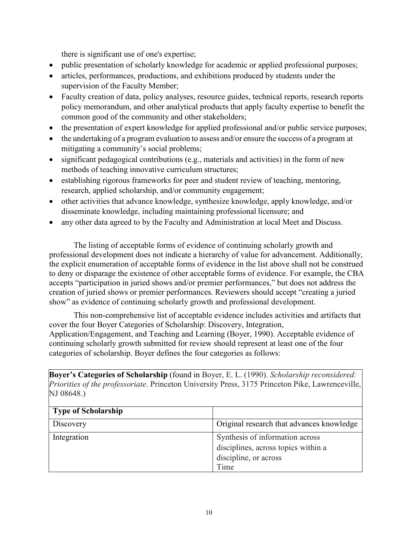there is significant use of one's expertise;

- public presentation of scholarly knowledge for academic or applied professional purposes;
- articles, performances, productions, and exhibitions produced by students under the supervision of the Faculty Member;
- Faculty creation of data, policy analyses, resource guides, technical reports, research reports policy memorandum, and other analytical products that apply faculty expertise to benefit the common good of the community and other stakeholders;
- the presentation of expert knowledge for applied professional and/or public service purposes;
- the undertaking of a program evaluation to assess and/or ensure the success of a program at mitigating a community's social problems;
- significant pedagogical contributions (e.g., materials and activities) in the form of new methods of teaching innovative curriculum structures;
- establishing rigorous frameworks for peer and student review of teaching, mentoring, research, applied scholarship, and/or community engagement;
- other activities that advance knowledge, synthesize knowledge, apply knowledge, and/or disseminate knowledge, including maintaining professional licensure; and
- any other data agreed to by the Faculty and Administration at local Meet and Discuss.

The listing of acceptable forms of evidence of continuing scholarly growth and professional development does not indicate a hierarchy of value for advancement. Additionally, the explicit enumeration of acceptable forms of evidence in the list above shall not be construed to deny or disparage the existence of other acceptable forms of evidence. For example, the CBA accepts "participation in juried shows and/or premier performances," but does not address the creation of juried shows or premier performances. Reviewers should accept "creating a juried show" as evidence of continuing scholarly growth and professional development.

This non-comprehensive list of acceptable evidence includes activities and artifacts that cover the four Boyer Categories of Scholarship: Discovery, Integration, Application/Engagement, and Teaching and Learning (Boyer, 1990). Acceptable evidence of continuing scholarly growth submitted for review should represent at least one of the four categories of scholarship. Boyer defines the four categories as follows:

**Boyer's Categories of Scholarship** (found in Boyer, E. L. (1990). *Scholarship reconsidered: Priorities of the professoriate*. Princeton University Press, 3175 Princeton Pike, Lawrenceville, NJ 08648.)

| <b>Type of Scholarship</b> |                                                                                                         |
|----------------------------|---------------------------------------------------------------------------------------------------------|
| Discovery                  | Original research that advances knowledge                                                               |
| Integration                | Synthesis of information across<br>disciplines, across topics within a<br>discipline, or across<br>Time |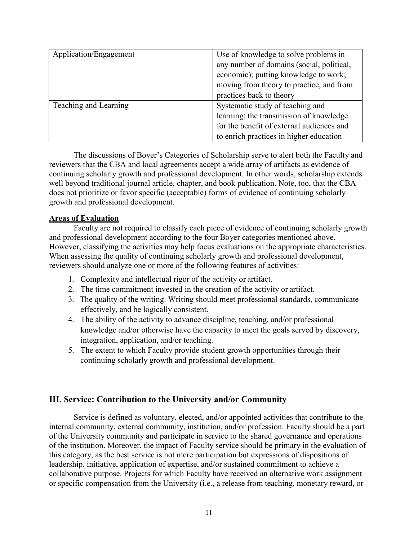| Application/Engagement | Use of knowledge to solve problems in     |  |
|------------------------|-------------------------------------------|--|
|                        | any number of domains (social, political, |  |
|                        | economic); putting knowledge to work;     |  |
|                        | moving from theory to practice, and from  |  |
|                        | practices back to theory                  |  |
| Teaching and Learning  | Systematic study of teaching and          |  |
|                        | learning; the transmission of knowledge   |  |
|                        | for the benefit of external audiences and |  |
|                        | to enrich practices in higher education   |  |

The discussions of Boyer's Categories of Scholarship serve to alert both the Faculty and reviewers that the CBA and local agreements accept a wide array of artifacts as evidence of continuing scholarly growth and professional development. In other words, scholarship extends well beyond traditional journal article, chapter, and book publication. Note, too, that the CBA does not prioritize or favor specific (acceptable) forms of evidence of continuing scholarly growth and professional development.

#### **Areas of Evaluation**

Faculty are not required to classify each piece of evidence of continuing scholarly growth and professional development according to the four Boyer categories mentioned above. However, classifying the activities may help focus evaluations on the appropriate characteristics. When assessing the quality of continuing scholarly growth and professional development, reviewers should analyze one or more of the following features of activities:

- 1. Complexity and intellectual rigor of the activity or artifact.
- 2. The time commitment invested in the creation of the activity or artifact.
- 3. The quality of the writing. Writing should meet professional standards, communicate effectively, and be logically consistent.
- 4. The ability of the activity to advance discipline, teaching, and/or professional knowledge and/or otherwise have the capacity to meet the goals served by discovery, integration, application, and/or teaching.
- 5. The extent to which Faculty provide student growth opportunities through their continuing scholarly growth and professional development.

#### <span id="page-10-0"></span>**III. Service: Contribution to the University and/or Community**

Service is defined as voluntary, elected, and/or appointed activities that contribute to the internal community, external community, institution, and/or profession. Faculty should be a part of the University community and participate in service to the shared governance and operations of the institution. Moreover, the impact of Faculty service should be primary in the evaluation of this category, as the best service is not mere participation but expressions of dispositions of leadership, initiative, application of expertise, and/or sustained commitment to achieve a collaborative purpose. Projects for which Faculty have received an alternative work assignment or specific compensation from the University (i.e., a release from teaching, monetary reward, or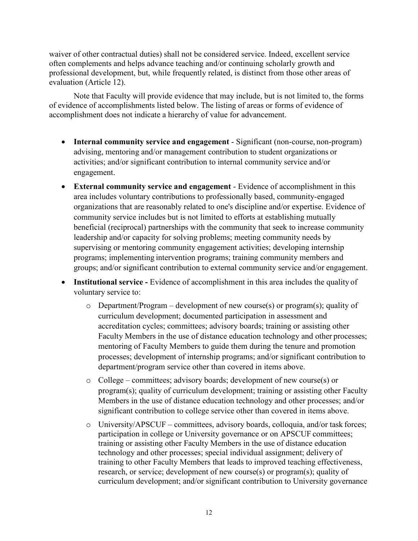waiver of other contractual duties) shall not be considered service. Indeed, excellent service often complements and helps advance teaching and/or continuing scholarly growth and professional development, but, while frequently related, is distinct from those other areas of evaluation (Article 12).

Note that Faculty will provide evidence that may include, but is not limited to, the forms of evidence of accomplishments listed below. The listing of areas or forms of evidence of accomplishment does not indicate a hierarchy of value for advancement.

- **Internal community service and engagement**  Significant (non-course, non-program) advising, mentoring and/or management contribution to student organizations or activities; and/or significant contribution to internal community service and/or engagement.
- **External community service and engagement**  Evidence of accomplishment in this area includes voluntary contributions to professionally based, community-engaged organizations that are reasonably related to one's discipline and/or expertise. Evidence of community service includes but is not limited to efforts at establishing mutually beneficial (reciprocal) partnerships with the community that seek to increase community leadership and/or capacity for solving problems; meeting community needs by supervising or mentoring community engagement activities; developing internship programs; implementing intervention programs; training community members and groups; and/or significant contribution to external community service and/or engagement.
- **Institutional service -** Evidence of accomplishment in this area includes the quality of voluntary service to:
	- $\circ$  Department/Program development of new course(s) or program(s); quality of curriculum development; documented participation in assessment and accreditation cycles; committees; advisory boards; training or assisting other Faculty Members in the use of distance education technology and other processes; mentoring of Faculty Members to guide them during the tenure and promotion processes; development of internship programs; and/or significant contribution to department/program service other than covered in items above.
	- o College committees; advisory boards; development of new course(s) or program(s); quality of curriculum development; training or assisting other Faculty Members in the use of distance education technology and other processes; and/or significant contribution to college service other than covered in items above.
	- o University/APSCUF committees, advisory boards, colloquia, and/or task forces; participation in college or University governance or on APSCUF committees; training or assisting other Faculty Members in the use of distance education technology and other processes; special individual assignment; delivery of training to other Faculty Members that leads to improved teaching effectiveness, research, or service; development of new course(s) or program(s); quality of curriculum development; and/or significant contribution to University governance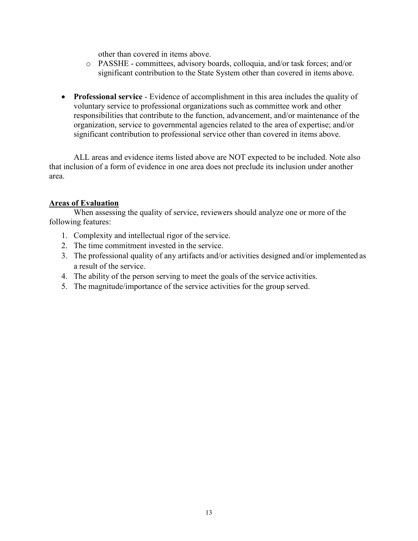other than covered in items above.

- o PASSHE committees, advisory boards, colloquia, and/or task forces; and/or significant contribution to the State System other than covered in items above.
- **Professional service**  Evidence of accomplishment in this area includes the quality of voluntary service to professional organizations such as committee work and other responsibilities that contribute to the function, advancement, and/or maintenance of the organization, service to governmental agencies related to the area of expertise; and/or significant contribution to professional service other than covered in items above.

ALL areas and evidence items listed above are NOT expected to be included. Note also that inclusion of a form of evidence in one area does not preclude its inclusion under another area.

#### **Areas of Evaluation**

When assessing the quality of service, reviewers should analyze one or more of the following features:

- 1. Complexity and intellectual rigor of the service.
- 2. The time commitment invested in the service.
- 3. The professional quality of any artifacts and/or activities designed and/or implemented as a result of the service.
- 4. The ability of the person serving to meet the goals of the service activities.
- 5. The magnitude/importance of the service activities for the group served.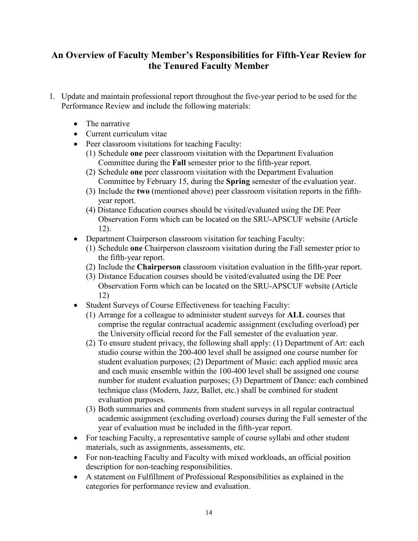### <span id="page-13-0"></span>**An Overview of Faculty Member's Responsibilities for Fifth-Year Review for the Tenured Faculty Member**

- 1. Update and maintain professional report throughout the five-year period to be used for the Performance Review and include the following materials:
	- The narrative
	- Current curriculum vitae
	- Peer classroom visitations for teaching Faculty:
		- (1) Schedule **one** peer classroom visitation with the Department Evaluation Committee during the **Fall** semester prior to the fifth-year report.
		- (2) Schedule **one** peer classroom visitation with the Department Evaluation Committee by February 15, during the **Spring** semester of the evaluation year.
		- (3) Include the **two** (mentioned above) peer classroom visitation reports in the fifthyear report.
		- (4) Distance Education courses should be visited/evaluated using the DE Peer Observation Form which can be located on the SRU-APSCUF website (Article 12).
	- Department Chairperson classroom visitation for teaching Faculty:
		- (1) Schedule **one** Chairperson classroom visitation during the Fall semester prior to the fifth-year report.
		- (2) Include the **Chairperson** classroom visitation evaluation in the fifth-year report.
		- (3) Distance Education courses should be visited/evaluated using the DE Peer Observation Form which can be located on the SRU-APSCUF website (Article 12)
	- Student Surveys of Course Effectiveness for teaching Faculty:
		- (1) Arrange for a colleague to administer student surveys for **ALL** courses that comprise the regular contractual academic assignment (excluding overload) per the University official record for the Fall semester of the evaluation year.
		- (2) To ensure student privacy, the following shall apply: (1) Department of Art: each studio course within the 200-400 level shall be assigned one course number for student evaluation purposes; (2) Department of Music: each applied music area and each music ensemble within the 100-400 level shall be assigned one course number for student evaluation purposes; (3) Department of Dance: each combined technique class (Modern, Jazz, Ballet, etc.) shall be combined for student evaluation purposes.
		- (3) Both summaries and comments from student surveys in all regular contractual academic assignment (excluding overload) courses during the Fall semester of the year of evaluation must be included in the fifth-year report.
	- For teaching Faculty, a representative sample of course syllabi and other student materials, such as assignments, assessments, etc.
	- For non-teaching Faculty and Faculty with mixed workloads, an official position description for non-teaching responsibilities.
	- A statement on Fulfillment of Professional Responsibilities as explained in the categories for performance review and evaluation.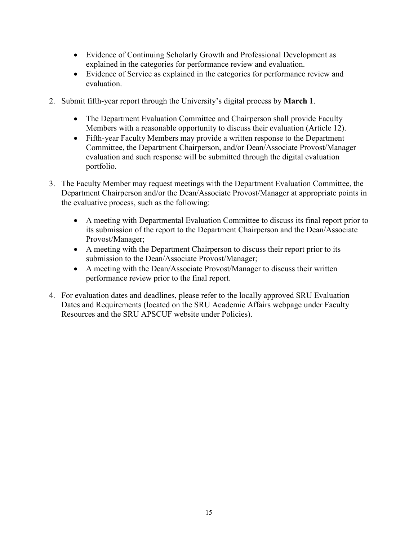- Evidence of Continuing Scholarly Growth and Professional Development as explained in the categories for performance review and evaluation.
- Evidence of Service as explained in the categories for performance review and evaluation.
- 2. Submit fifth-year report through the University's digital process by **March 1**.
	- The Department Evaluation Committee and Chairperson shall provide Faculty Members with a reasonable opportunity to discuss their evaluation (Article 12).
	- Fifth-year Faculty Members may provide a written response to the Department Committee, the Department Chairperson, and/or Dean/Associate Provost/Manager evaluation and such response will be submitted through the digital evaluation portfolio.
- 3. The Faculty Member may request meetings with the Department Evaluation Committee, the Department Chairperson and/or the Dean/Associate Provost/Manager at appropriate points in the evaluative process, such as the following:
	- A meeting with Departmental Evaluation Committee to discuss its final report prior to its submission of the report to the Department Chairperson and the Dean/Associate Provost/Manager;
	- A meeting with the Department Chairperson to discuss their report prior to its submission to the Dean/Associate Provost/Manager;
	- A meeting with the Dean/Associate Provost/Manager to discuss their written performance review prior to the final report.
- 4. For evaluation dates and deadlines, please refer to the locally approved SRU Evaluation Dates and Requirements (located on the SRU Academic Affairs webpage under Faculty Resources and the SRU APSCUF website under Policies).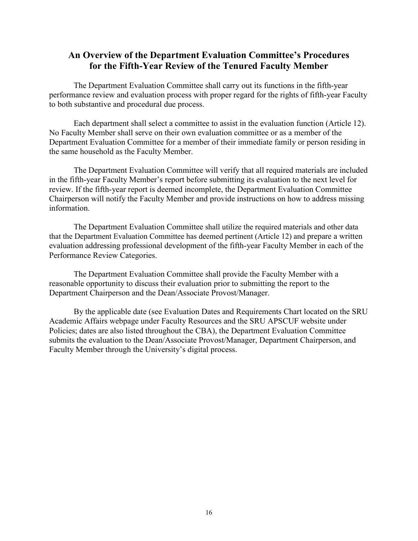### <span id="page-15-0"></span>**An Overview of the Department Evaluation Committee's Procedures for the Fifth-Year Review of the Tenured Faculty Member**

The Department Evaluation Committee shall carry out its functions in the fifth-year performance review and evaluation process with proper regard for the rights of fifth-year Faculty to both substantive and procedural due process.

Each department shall select a committee to assist in the evaluation function (Article 12). No Faculty Member shall serve on their own evaluation committee or as a member of the Department Evaluation Committee for a member of their immediate family or person residing in the same household as the Faculty Member.

The Department Evaluation Committee will verify that all required materials are included in the fifth-year Faculty Member's report before submitting its evaluation to the next level for review. If the fifth-year report is deemed incomplete, the Department Evaluation Committee Chairperson will notify the Faculty Member and provide instructions on how to address missing information.

The Department Evaluation Committee shall utilize the required materials and other data that the Department Evaluation Committee has deemed pertinent (Article 12) and prepare a written evaluation addressing professional development of the fifth-year Faculty Member in each of the Performance Review Categories.

The Department Evaluation Committee shall provide the Faculty Member with a reasonable opportunity to discuss their evaluation prior to submitting the report to the Department Chairperson and the Dean/Associate Provost/Manager.

By the applicable date (see Evaluation Dates and Requirements Chart located on the SRU Academic Affairs webpage under Faculty Resources and the SRU APSCUF website under Policies; dates are also listed throughout the CBA), the Department Evaluation Committee submits the evaluation to the Dean/Associate Provost/Manager, Department Chairperson, and Faculty Member through the University's digital process.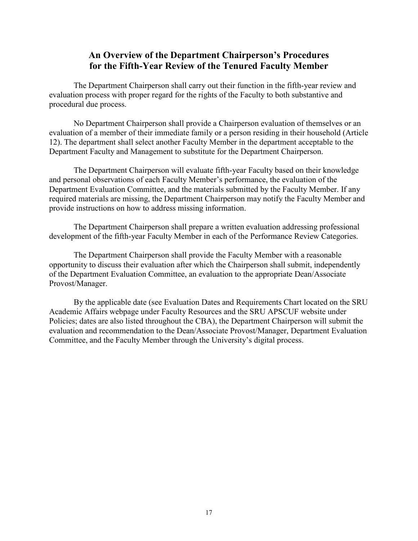### **An Overview of the Department Chairperson's Procedures for the Fifth-Year Review of the Tenured Faculty Member**

<span id="page-16-0"></span>The Department Chairperson shall carry out their function in the fifth-year review and evaluation process with proper regard for the rights of the Faculty to both substantive and procedural due process.

No Department Chairperson shall provide a Chairperson evaluation of themselves or an evaluation of a member of their immediate family or a person residing in their household (Article 12). The department shall select another Faculty Member in the department acceptable to the Department Faculty and Management to substitute for the Department Chairperson.

The Department Chairperson will evaluate fifth-year Faculty based on their knowledge and personal observations of each Faculty Member's performance, the evaluation of the Department Evaluation Committee, and the materials submitted by the Faculty Member. If any required materials are missing, the Department Chairperson may notify the Faculty Member and provide instructions on how to address missing information.

The Department Chairperson shall prepare a written evaluation addressing professional development of the fifth-year Faculty Member in each of the Performance Review Categories.

The Department Chairperson shall provide the Faculty Member with a reasonable opportunity to discuss their evaluation after which the Chairperson shall submit, independently of the Department Evaluation Committee, an evaluation to the appropriate Dean/Associate Provost/Manager.

By the applicable date (see Evaluation Dates and Requirements Chart located on the SRU Academic Affairs webpage under Faculty Resources and the SRU APSCUF website under Policies; dates are also listed throughout the CBA), the Department Chairperson will submit the evaluation and recommendation to the Dean/Associate Provost/Manager, Department Evaluation Committee, and the Faculty Member through the University's digital process.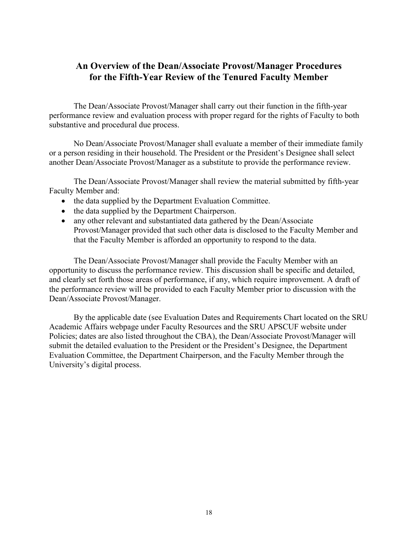### <span id="page-17-0"></span>**An Overview of the Dean/Associate Provost/Manager Procedures for the Fifth-Year Review of the Tenured Faculty Member**

The Dean/Associate Provost/Manager shall carry out their function in the fifth-year performance review and evaluation process with proper regard for the rights of Faculty to both substantive and procedural due process.

No Dean/Associate Provost/Manager shall evaluate a member of their immediate family or a person residing in their household. The President or the President's Designee shall select another Dean/Associate Provost/Manager as a substitute to provide the performance review.

The Dean/Associate Provost/Manager shall review the material submitted by fifth-year Faculty Member and:

- the data supplied by the Department Evaluation Committee.
- the data supplied by the Department Chairperson.
- any other relevant and substantiated data gathered by the Dean/Associate Provost/Manager provided that such other data is disclosed to the Faculty Member and that the Faculty Member is afforded an opportunity to respond to the data.

The Dean/Associate Provost/Manager shall provide the Faculty Member with an opportunity to discuss the performance review. This discussion shall be specific and detailed, and clearly set forth those areas of performance, if any, which require improvement. A draft of the performance review will be provided to each Faculty Member prior to discussion with the Dean/Associate Provost/Manager.

By the applicable date (see Evaluation Dates and Requirements Chart located on the SRU Academic Affairs webpage under Faculty Resources and the SRU APSCUF website under Policies; dates are also listed throughout the CBA), the Dean/Associate Provost/Manager will submit the detailed evaluation to the President or the President's Designee, the Department Evaluation Committee, the Department Chairperson, and the Faculty Member through the University's digital process.